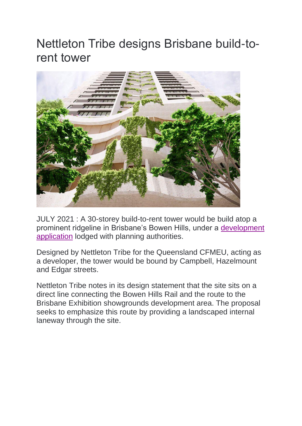## Nettleton Tribe designs Brisbane build-torent tower



JULY 2021 : A 30-storey build-to-rent tower would be build atop a prominent ridgeline in Brisbane's Bowen Hills, under a [development](https://edqdad.dsdip.qld.gov.au/developmentAssessments/view/front/1249/)  [application](https://edqdad.dsdip.qld.gov.au/developmentAssessments/view/front/1249/) lodged with planning authorities.

Designed by Nettleton Tribe for the Queensland CFMEU, acting as a developer, the tower would be bound by Campbell, Hazelmount and Edgar streets.

Nettleton Tribe notes in its design statement that the site sits on a direct line connecting the Bowen Hills Rail and the route to the Brisbane Exhibition showgrounds development area. The proposal seeks to emphasize this route by providing a landscaped internal laneway through the site.